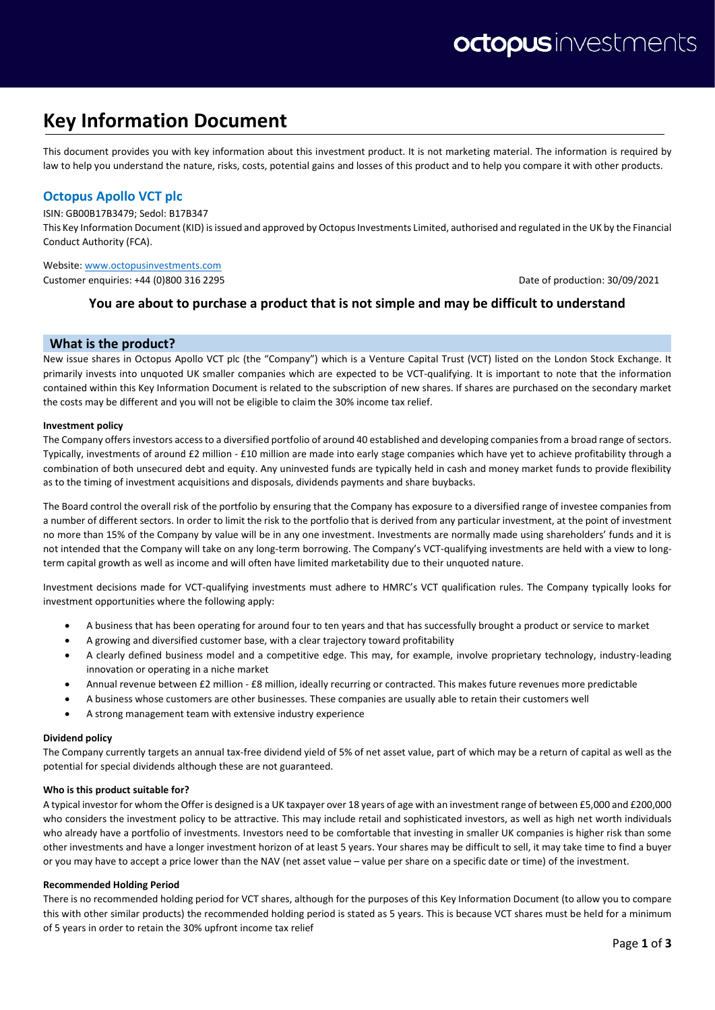# **Key Information Document**

This document provides you with key information about this investment product. It is not marketing material. The information is required by law to help you understand the nature, risks, costs, potential gains and losses of this product and to help you compare it with other products.

# **Octopus Apollo VCT plc**

ISIN: GB00B17B3479; Sedol: B17B347

This Key Information Document (KID) is issued and approved by Octopus Investments Limited, authorised and regulated in the UK by the Financial Conduct Authority (FCA).

Website[: www.octopusinvestments.com](http://www.octopusinvestments.com/)

Customer enquiries: +44 (0)800 316 2295 Date of production: 30/09/2021

# **You are about to purchase a product that is not simple and may be difficult to understand**

## **What is the product?**

New issue shares in Octopus Apollo VCT plc (the "Company") which is a Venture Capital Trust (VCT) listed on the London Stock Exchange. It primarily invests into unquoted UK smaller companies which are expected to be VCT-qualifying. It is important to note that the information contained within this Key Information Document is related to the subscription of new shares. If shares are purchased on the secondary market the costs may be different and you will not be eligible to claim the 30% income tax relief.

#### **Investment policy**

The Company offers investors access to a diversified portfolio of around 40 established and developing companies from a broad range of sectors. Typically, investments of around £2 million - £10 million are made into early stage companies which have yet to achieve profitability through a combination of both unsecured debt and equity. Any uninvested funds are typically held in cash and money market funds to provide flexibility as to the timing of investment acquisitions and disposals, dividends payments and share buybacks.

The Board control the overall risk of the portfolio by ensuring that the Company has exposure to a diversified range of investee companies from a number of different sectors. In order to limit the risk to the portfolio that is derived from any particular investment, at the point of investment no more than 15% of the Company by value will be in any one investment. Investments are normally made using shareholders' funds and it is not intended that the Company will take on any long-term borrowing. The Company's VCT-qualifying investments are held with a view to longterm capital growth as well as income and will often have limited marketability due to their unquoted nature.

Investment decisions made for VCT-qualifying investments must adhere to HMRC's VCT qualification rules. The Company typically looks for investment opportunities where the following apply:

- A business that has been operating for around four to ten years and that has successfully brought a product or service to market
- A growing and diversified customer base, with a clear trajectory toward profitability
- A clearly defined business model and a competitive edge. This may, for example, involve proprietary technology, industry-leading innovation or operating in a niche market
- Annual revenue between £2 million £8 million, ideally recurring or contracted. This makes future revenues more predictable
- A business whose customers are other businesses. These companies are usually able to retain their customers well
- A strong management team with extensive industry experience

#### **Dividend policy**

The Company currently targets an annual tax-free dividend yield of 5% of net asset value, part of which may be a return of capital as well as the potential for special dividends although these are not guaranteed.

#### **Who is this product suitable for?**

A typical investor for whom the Offer is designed is a UK taxpayer over 18 years of age with an investment range of between £5,000 and £200,000 who considers the investment policy to be attractive. This may include retail and sophisticated investors, as well as high net worth individuals who already have a portfolio of investments. Investors need to be comfortable that investing in smaller UK companies is higher risk than some other investments and have a longer investment horizon of at least 5 years. Your shares may be difficult to sell, it may take time to find a buyer or you may have to accept a price lower than the NAV (net asset value – value per share on a specific date or time) of the investment.

#### **Recommended Holding Period**

There is no recommended holding period for VCT shares, although for the purposes of this Key Information Document (to allow you to compare this with other similar products) the recommended holding period is stated as 5 years. This is because VCT shares must be held for a minimum of 5 years in order to retain the 30% upfront income tax relief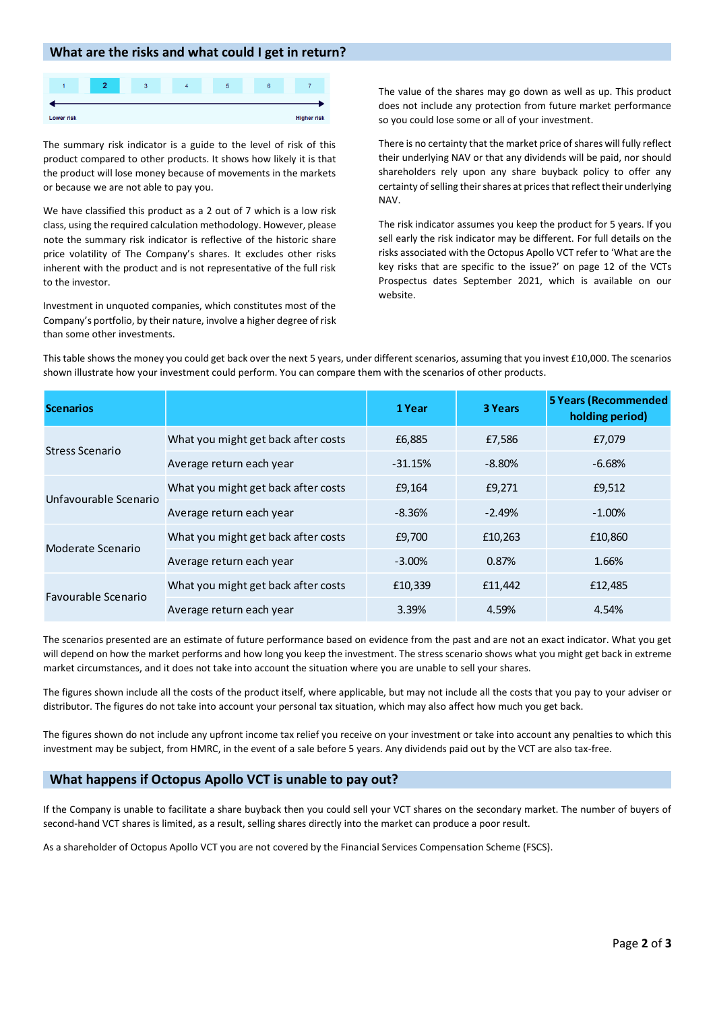## **What are the risks and what could I get in return?**



The summary risk indicator is a guide to the level of risk of this product compared to other products. It shows how likely it is that the product will lose money because of movements in the markets or because we are not able to pay you.

We have classified this product as a 2 out of 7 which is a low risk class, using the required calculation methodology. However, please note the summary risk indicator is reflective of the historic share price volatility of The Company's shares. It excludes other risks inherent with the product and is not representative of the full risk to the investor.

Investment in unquoted companies, which constitutes most of the Company's portfolio, by their nature, involve a higher degree of risk than some other investments.

The value of the shares may go down as well as up. This product does not include any protection from future market performance so you could lose some or all of your investment.

There is no certainty that the market price of shares will fully reflect their underlying NAV or that any dividends will be paid, nor should shareholders rely upon any share buyback policy to offer any certainty of selling their shares at prices that reflect their underlying NAV.

The risk indicator assumes you keep the product for 5 years. If you sell early the risk indicator may be different. For full details on the risks associated with the Octopus Apollo VCT refer to 'What are the key risks that are specific to the issue?' on page 12 of the VCTs Prospectus dates September 2021, which is available on our website.

| <b>Scenarios</b>      |                                     | 1 Year    | <b>3 Years</b> | <b>5 Years (Recommended</b><br>holding period) |
|-----------------------|-------------------------------------|-----------|----------------|------------------------------------------------|
| Stress Scenario       | What you might get back after costs | £6,885    | £7,586         | £7,079                                         |
|                       | Average return each year            | $-31.15%$ | $-8.80\%$      | $-6.68\%$                                      |
| Unfavourable Scenario | What you might get back after costs | £9,164    | £9,271         | £9,512                                         |
|                       | Average return each year            | $-8.36%$  | $-2.49%$       | $-1.00\%$                                      |
| Moderate Scenario     | What you might get back after costs | £9,700    | £10,263        | £10,860                                        |
|                       | Average return each year            | $-3.00\%$ | 0.87%          | 1.66%                                          |
| Favourable Scenario   | What you might get back after costs | £10,339   | £11,442        | £12,485                                        |
|                       | Average return each year            | 3.39%     | 4.59%          | 4.54%                                          |

This table shows the money you could get back over the next 5 years, under different scenarios, assuming that you invest £10,000. The scenarios shown illustrate how your investment could perform. You can compare them with the scenarios of other products.

The scenarios presented are an estimate of future performance based on evidence from the past and are not an exact indicator. What you get will depend on how the market performs and how long you keep the investment. The stress scenario shows what you might get back in extreme market circumstances, and it does not take into account the situation where you are unable to sell your shares.

The figures shown include all the costs of the product itself, where applicable, but may not include all the costs that you pay to your adviser or distributor. The figures do not take into account your personal tax situation, which may also affect how much you get back.

The figures shown do not include any upfront income tax relief you receive on your investment or take into account any penalties to which this investment may be subject, from HMRC, in the event of a sale before 5 years. Any dividends paid out by the VCT are also tax-free.

# **What happens if Octopus Apollo VCT is unable to pay out?**

If the Company is unable to facilitate a share buyback then you could sell your VCT shares on the secondary market. The number of buyers of second-hand VCT shares is limited, as a result, selling shares directly into the market can produce a poor result.

As a shareholder of Octopus Apollo VCT you are not covered by the Financial Services Compensation Scheme (FSCS).